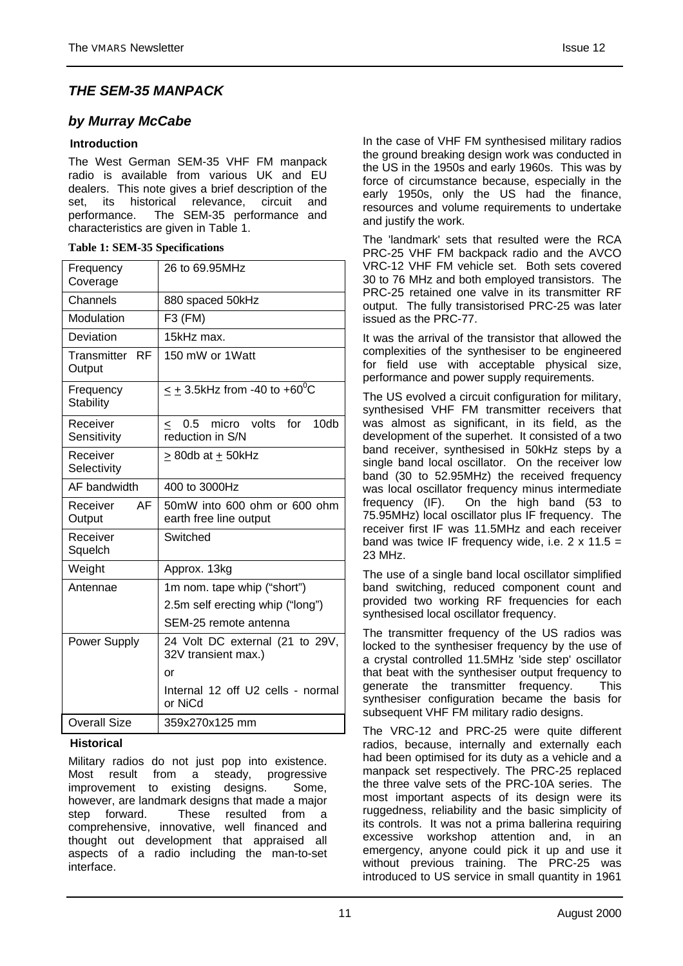# *THE SEM-35 MANPACK*

# *by Murray McCabe*

## **Introduction**

The West German SEM-35 VHF FM manpack radio is available from various UK and EU dealers. This note gives a brief description of the set, its historical relevance, circuit and performance. The SEM-35 performance and characteristics are given in Table 1.

#### **Table 1: SEM-35 Specifications**

| Frequency<br>Coverage         | 26 to 69.95MHz                                                   |  |
|-------------------------------|------------------------------------------------------------------|--|
| Channels                      | 880 spaced 50kHz                                                 |  |
| Modulation                    | F3 (FM)                                                          |  |
| Deviation                     | 15kHz max.                                                       |  |
| Transmitter RF<br>Output      | 150 mW or 1 Watt                                                 |  |
| Frequency<br><b>Stability</b> | $\leq$ + 3.5kHz from -40 to +60 <sup>o</sup> C                   |  |
| Receiver<br>Sensitivity       | 0.5<br>micro volts<br>for<br>10db<br>$\,<\,$<br>reduction in S/N |  |
| Receiver<br>Selectivity       | $>$ 80db at + 50kHz                                              |  |
| AF bandwidth                  | 400 to 3000Hz                                                    |  |
| AF<br>Receiver<br>Output      | 50mW into 600 ohm or 600 ohm<br>earth free line output           |  |
| Receiver<br>Squelch           | Switched                                                         |  |
| Weight                        | Approx. 13kg                                                     |  |
| Antennae                      | 1m nom. tape whip ("short")                                      |  |
|                               | 2.5m self erecting whip ("long")                                 |  |
|                               | SEM-25 remote antenna                                            |  |
| Power Supply                  | 24 Volt DC external (21 to 29V,<br>32V transient max.)           |  |
|                               | or                                                               |  |
|                               | Internal 12 off U2 cells - normal<br>or NiCd                     |  |
| <b>Overall Size</b>           | 359x270x125 mm                                                   |  |
|                               |                                                                  |  |

### **Historical**

Military radios do not just pop into existence. Most result from a steady, progressive improvement to existing designs. Some, however, are landmark designs that made a major step forward. These resulted from a comprehensive, innovative, well financed and thought out development that appraised all aspects of a radio including the man-to-set interface.

In the case of VHF FM synthesised military radios the ground breaking design work was conducted in the US in the 1950s and early 1960s. This was by force of circumstance because, especially in the early 1950s, only the US had the finance, resources and volume requirements to undertake and justify the work.

The 'landmark' sets that resulted were the RCA PRC-25 VHF FM backpack radio and the AVCO VRC-12 VHF FM vehicle set. Both sets covered 30 to 76 MHz and both employed transistors. The PRC-25 retained one valve in its transmitter RF output. The fully transistorised PRC-25 was later issued as the PRC-77.

It was the arrival of the transistor that allowed the complexities of the synthesiser to be engineered for field use with acceptable physical size, performance and power supply requirements.

The US evolved a circuit configuration for military, synthesised VHF FM transmitter receivers that was almost as significant, in its field, as the development of the superhet. It consisted of a two band receiver, synthesised in 50kHz steps by a single band local oscillator. On the receiver low band (30 to 52.95MHz) the received frequency was local oscillator frequency minus intermediate frequency (IF). On the high band (53 to 75.95MHz) local oscillator plus IF frequency. The receiver first IF was 11.5MHz and each receiver band was twice IF frequency wide, i.e.  $2 \times 11.5 =$ 23 MHz.

The use of a single band local oscillator simplified band switching, reduced component count and provided two working RF frequencies for each synthesised local oscillator frequency.

The transmitter frequency of the US radios was locked to the synthesiser frequency by the use of a crystal controlled 11.5MHz 'side step' oscillator that beat with the synthesiser output frequency to generate the transmitter frequency. This synthesiser configuration became the basis for subsequent VHF FM military radio designs.

The VRC-12 and PRC-25 were quite different radios, because, internally and externally each had been optimised for its duty as a vehicle and a manpack set respectively. The PRC-25 replaced the three valve sets of the PRC-10A series. The most important aspects of its design were its ruggedness, reliability and the basic simplicity of its controls. It was not a prima ballerina requiring excessive workshop attention and, in an emergency, anyone could pick it up and use it without previous training. The PRC-25 was introduced to US service in small quantity in 1961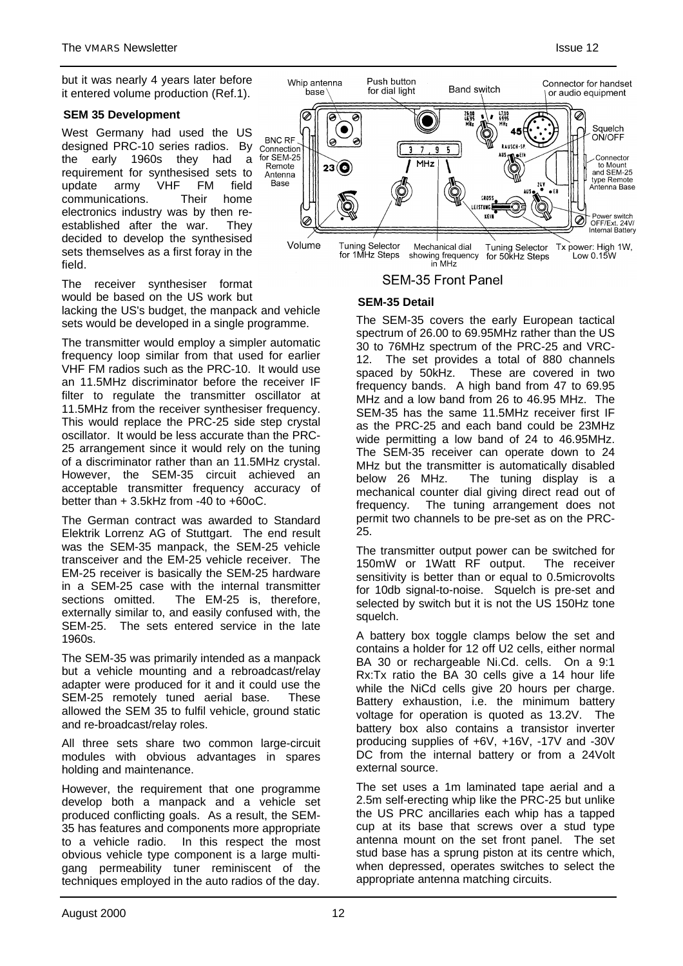#### **SEM 35 Development**

West Germany had used the US designed PRC-10 series radios. By the early 1960s they had a requirement for synthesised sets to update army VHF FM field communications. Their home electronics industry was by then reestablished after the war. They decided to develop the synthesised sets themselves as a first foray in the field.

The receiver synthesiser format would be based on the US work but lacking the US's budget, the manpack and vehicle sets would be developed in a single programme.

The transmitter would employ a simpler automatic frequency loop similar from that used for earlier VHF FM radios such as the PRC-10. It would use an 11.5MHz discriminator before the receiver IF filter to regulate the transmitter oscillator at 11.5MHz from the receiver synthesiser frequency. This would replace the PRC-25 side step crystal oscillator. It would be less accurate than the PRC-25 arrangement since it would rely on the tuning of a discriminator rather than an 11.5MHz crystal. However, the SEM-35 circuit achieved an acceptable transmitter frequency accuracy of better than + 3.5kHz from -40 to +60oC.

The German contract was awarded to Standard Elektrik Lorrenz AG of Stuttgart. The end result was the SEM-35 manpack, the SEM-25 vehicle transceiver and the EM-25 vehicle receiver. The EM-25 receiver is basically the SEM-25 hardware in a SEM-25 case with the internal transmitter sections omitted. The EM-25 is, therefore, externally similar to, and easily confused with, the SEM-25. The sets entered service in the late 1960s.

The SEM-35 was primarily intended as a manpack but a vehicle mounting and a rebroadcast/relay adapter were produced for it and it could use the SEM-25 remotely tuned aerial base. These allowed the SEM 35 to fulfil vehicle, ground static and re-broadcast/relay roles.

All three sets share two common large-circuit modules with obvious advantages in spares holding and maintenance.

However, the requirement that one programme develop both a manpack and a vehicle set produced conflicting goals. As a result, the SEM-35 has features and components more appropriate to a vehicle radio. In this respect the most obvious vehicle type component is a large multigang permeability tuner reminiscent of the techniques employed in the auto radios of the day.



**SEM-35 Front Panel** 

# **SEM-35 Detail**

The SEM-35 covers the early European tactical spectrum of 26.00 to 69.95MHz rather than the US 30 to 76MHz spectrum of the PRC-25 and VRC-12. The set provides a total of 880 channels spaced by 50kHz. These are covered in two frequency bands. A high band from 47 to 69.95 MHz and a low band from 26 to 46.95 MHz. The SEM-35 has the same 11.5MHz receiver first IF as the PRC-25 and each band could be 23MHz wide permitting a low band of 24 to 46.95MHz. The SEM-35 receiver can operate down to 24 MHz but the transmitter is automatically disabled below 26 MHz. The tuning display is a mechanical counter dial giving direct read out of frequency. The tuning arrangement does not permit two channels to be pre-set as on the PRC-25.

The transmitter output power can be switched for 150mW or 1Watt RF output. The receiver sensitivity is better than or equal to 0.5microvolts for 10db signal-to-noise. Squelch is pre-set and selected by switch but it is not the US 150Hz tone squelch.

A battery box toggle clamps below the set and contains a holder for 12 off U2 cells, either normal BA 30 or rechargeable Ni.Cd. cells. On a 9:1 Rx:Tx ratio the BA 30 cells give a 14 hour life while the NiCd cells give 20 hours per charge. Battery exhaustion, i.e. the minimum battery voltage for operation is quoted as 13.2V. The battery box also contains a transistor inverter producing supplies of +6V, +16V, -17V and -30V DC from the internal battery or from a 24Volt external source.

The set uses a 1m laminated tape aerial and a 2.5m self-erecting whip like the PRC-25 but unlike the US PRC ancillaries each whip has a tapped cup at its base that screws over a stud type antenna mount on the set front panel. The set stud base has a sprung piston at its centre which, when depressed, operates switches to select the appropriate antenna matching circuits.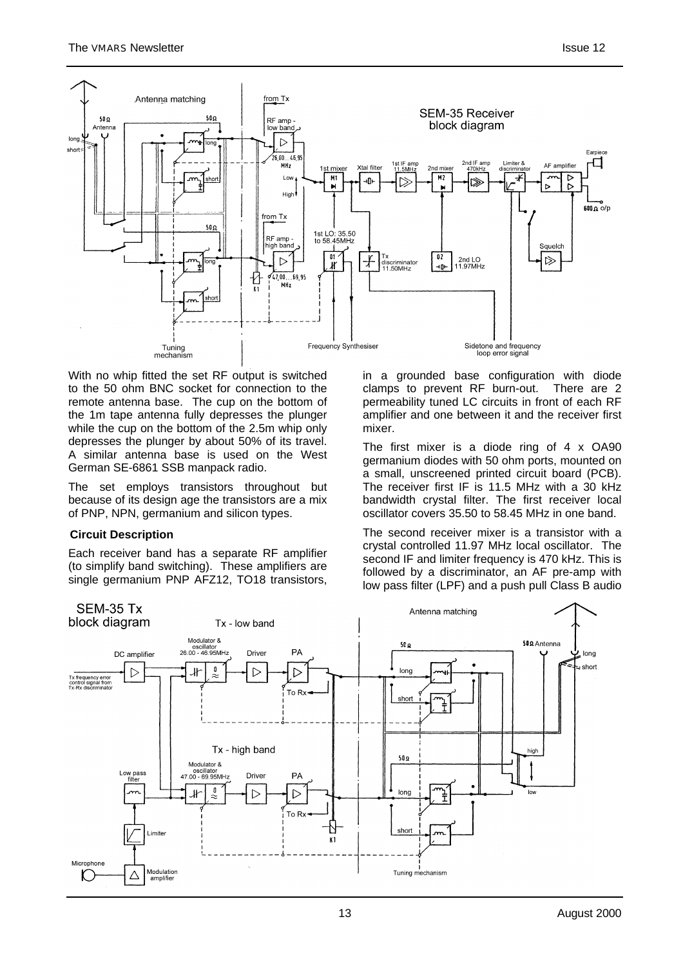

With no whip fitted the set RF output is switched to the 50 ohm BNC socket for connection to the remote antenna base. The cup on the bottom of the 1m tape antenna fully depresses the plunger while the cup on the bottom of the 2.5m whip only depresses the plunger by about 50% of its travel. A similar antenna base is used on the West German SE-6861 SSB manpack radio.

The set employs transistors throughout but because of its design age the transistors are a mix of PNP, NPN, germanium and silicon types.

### **Circuit Description**

Each receiver band has a separate RF amplifier (to simplify band switching). These amplifiers are single germanium PNP AFZ12, TO18 transistors,

**SEM-35 Tx** 

in a grounded base configuration with diode clamps to prevent RF burn-out. There are 2 permeability tuned LC circuits in front of each RF amplifier and one between it and the receiver first mixer.

The first mixer is a diode ring of 4 x OA90 germanium diodes with 50 ohm ports, mounted on a small, unscreened printed circuit board (PCB). The receiver first IF is 11.5 MHz with a 30 kHz bandwidth crystal filter. The first receiver local oscillator covers 35.50 to 58.45 MHz in one band.

The second receiver mixer is a transistor with a crystal controlled 11.97 MHz local oscillator. The second IF and limiter frequency is 470 kHz. This is followed by a discriminator, an AF pre-amp with low pass filter (LPF) and a push pull Class B audio

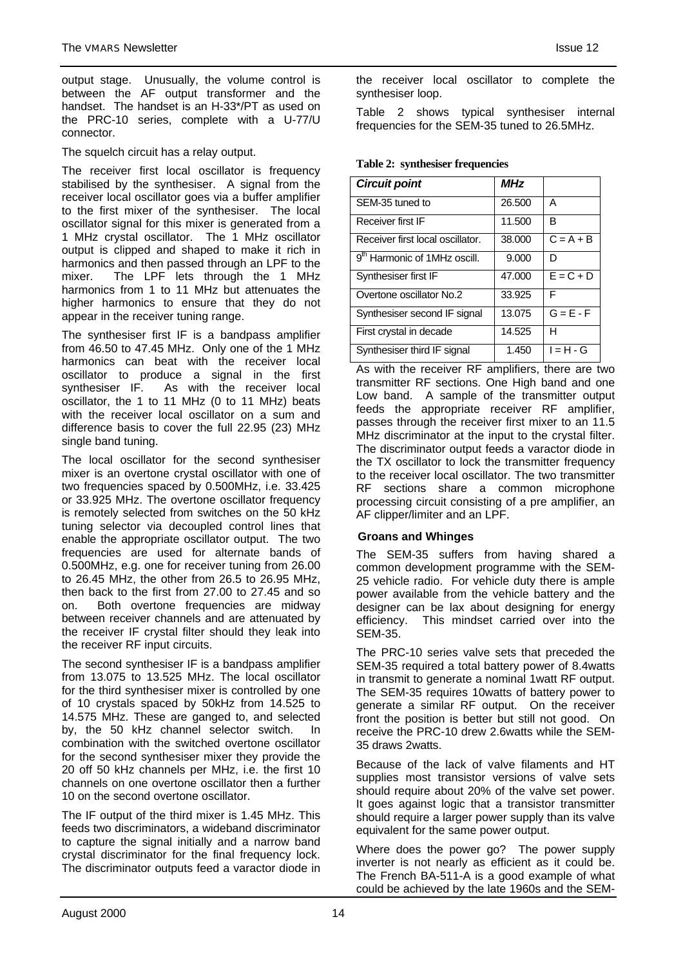output stage. Unusually, the volume control is between the AF output transformer and the handset. The handset is an H-33\*/PT as used on the PRC-10 series, complete with a U-77/U connector.

The squelch circuit has a relay output.

The receiver first local oscillator is frequency stabilised by the synthesiser. A signal from the receiver local oscillator goes via a buffer amplifier to the first mixer of the synthesiser. The local oscillator signal for this mixer is generated from a 1 MHz crystal oscillator. The 1 MHz oscillator output is clipped and shaped to make it rich in harmonics and then passed through an LPF to the mixer. The LPF lets through the 1 MHz harmonics from 1 to 11 MHz but attenuates the higher harmonics to ensure that they do not appear in the receiver tuning range.

The synthesiser first IF is a bandpass amplifier from 46.50 to 47.45 MHz. Only one of the 1 MHz harmonics can beat with the receiver local oscillator to produce a signal in the first synthesiser IF. As with the receiver local oscillator, the 1 to 11 MHz (0 to 11 MHz) beats with the receiver local oscillator on a sum and difference basis to cover the full 22.95 (23) MHz single band tuning.

The local oscillator for the second synthesiser mixer is an overtone crystal oscillator with one of two frequencies spaced by 0.500MHz, i.e. 33.425 or 33.925 MHz. The overtone oscillator frequency is remotely selected from switches on the 50 kHz tuning selector via decoupled control lines that enable the appropriate oscillator output. The two frequencies are used for alternate bands of 0.500MHz, e.g. one for receiver tuning from 26.00 to 26.45 MHz, the other from 26.5 to 26.95 MHz, then back to the first from 27.00 to 27.45 and so on. Both overtone frequencies are midway between receiver channels and are attenuated by the receiver IF crystal filter should they leak into the receiver RF input circuits.

The second synthesiser IF is a bandpass amplifier from 13.075 to 13.525 MHz. The local oscillator for the third synthesiser mixer is controlled by one of 10 crystals spaced by 50kHz from 14.525 to 14.575 MHz. These are ganged to, and selected by, the 50 kHz channel selector switch. In combination with the switched overtone oscillator for the second synthesiser mixer they provide the 20 off 50 kHz channels per MHz, i.e. the first 10 channels on one overtone oscillator then a further 10 on the second overtone oscillator.

The IF output of the third mixer is 1.45 MHz. This feeds two discriminators, a wideband discriminator to capture the signal initially and a narrow band crystal discriminator for the final frequency lock. The discriminator outputs feed a varactor diode in synthesiser loop. Table 2 shows typical synthesiser internal

frequencies for the SEM-35 tuned to 26.5MHz.

### **Table 2: synthesiser frequencies**

| <b>Circuit point</b>                     | MHz    |                        |
|------------------------------------------|--------|------------------------|
| SEM-35 tuned to                          | 26.500 | A                      |
| Receiver first IF                        | 11.500 | R                      |
| Receiver first local oscillator.         | 38.000 | $C = A + B$            |
| 9 <sup>th</sup> Harmonic of 1MHz oscill. | 9.000  | D                      |
| Synthesiser first IF                     | 47.000 | $\overline{E}$ = C + D |
| Overtone oscillator No.2                 | 33.925 | F                      |
| Synthesiser second IF signal             | 13.075 | $G = E - F$            |
| First crystal in decade                  | 14.525 | н                      |
| Synthesiser third IF signal              | 1.450  | $I = H - G$            |

As with the receiver RF amplifiers, there are two transmitter RF sections. One High band and one Low band. A sample of the transmitter output feeds the appropriate receiver RF amplifier, passes through the receiver first mixer to an 11.5 MHz discriminator at the input to the crystal filter. The discriminator output feeds a varactor diode in the TX oscillator to lock the transmitter frequency to the receiver local oscillator. The two transmitter RF sections share a common microphone processing circuit consisting of a pre amplifier, an AF clipper/limiter and an LPF.

# **Groans and Whinges**

The SEM-35 suffers from having shared a common development programme with the SEM-25 vehicle radio. For vehicle duty there is ample power available from the vehicle battery and the designer can be lax about designing for energy efficiency. This mindset carried over into the SEM-35.

The PRC-10 series valve sets that preceded the SEM-35 required a total battery power of 8.4watts in transmit to generate a nominal 1watt RF output. The SEM-35 requires 10watts of battery power to generate a similar RF output. On the receiver front the position is better but still not good. On receive the PRC-10 drew 2.6watts while the SEM-35 draws 2watts.

Because of the lack of valve filaments and HT supplies most transistor versions of valve sets should require about 20% of the valve set power. It goes against logic that a transistor transmitter should require a larger power supply than its valve equivalent for the same power output.

Where does the power go? The power supply inverter is not nearly as efficient as it could be. The French BA-511-A is a good example of what could be achieved by the late 1960s and the SEM-